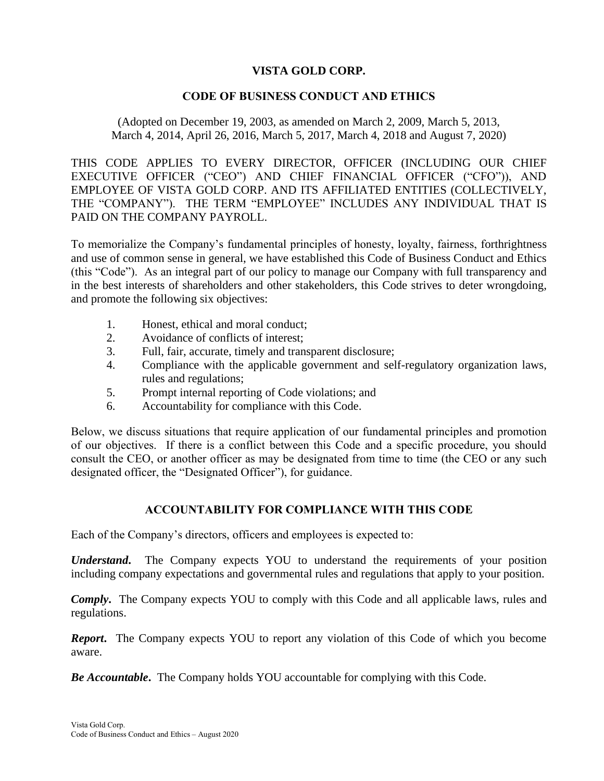# **VISTA GOLD CORP.**

### **CODE OF BUSINESS CONDUCT AND ETHICS**

(Adopted on December 19, 2003, as amended on March 2, 2009, March 5, 2013, March 4, 2014, April 26, 2016, March 5, 2017, March 4, 2018 and August 7, 2020)

THIS CODE APPLIES TO EVERY DIRECTOR, OFFICER (INCLUDING OUR CHIEF EXECUTIVE OFFICER ("CEO") AND CHIEF FINANCIAL OFFICER ("CFO")), AND EMPLOYEE OF VISTA GOLD CORP. AND ITS AFFILIATED ENTITIES (COLLECTIVELY, THE "COMPANY"). THE TERM "EMPLOYEE" INCLUDES ANY INDIVIDUAL THAT IS PAID ON THE COMPANY PAYROLL.

To memorialize the Company's fundamental principles of honesty, loyalty, fairness, forthrightness and use of common sense in general, we have established this Code of Business Conduct and Ethics (this "Code"). As an integral part of our policy to manage our Company with full transparency and in the best interests of shareholders and other stakeholders, this Code strives to deter wrongdoing, and promote the following six objectives:

- 1. Honest, ethical and moral conduct;
- 2. Avoidance of conflicts of interest;
- 3. Full, fair, accurate, timely and transparent disclosure;
- 4. Compliance with the applicable government and self-regulatory organization laws, rules and regulations;
- 5. Prompt internal reporting of Code violations; and
- 6. Accountability for compliance with this Code.

Below, we discuss situations that require application of our fundamental principles and promotion of our objectives. If there is a conflict between this Code and a specific procedure, you should consult the CEO, or another officer as may be designated from time to time (the CEO or any such designated officer, the "Designated Officer"), for guidance.

# **ACCOUNTABILITY FOR COMPLIANCE WITH THIS CODE**

Each of the Company's directors, officers and employees is expected to:

*Understand***.** The Company expects YOU to understand the requirements of your position including company expectations and governmental rules and regulations that apply to your position.

*Comply***.** The Company expects YOU to comply with this Code and all applicable laws, rules and regulations.

*Report***.** The Company expects YOU to report any violation of this Code of which you become aware.

*Be Accountable***.** The Company holds YOU accountable for complying with this Code.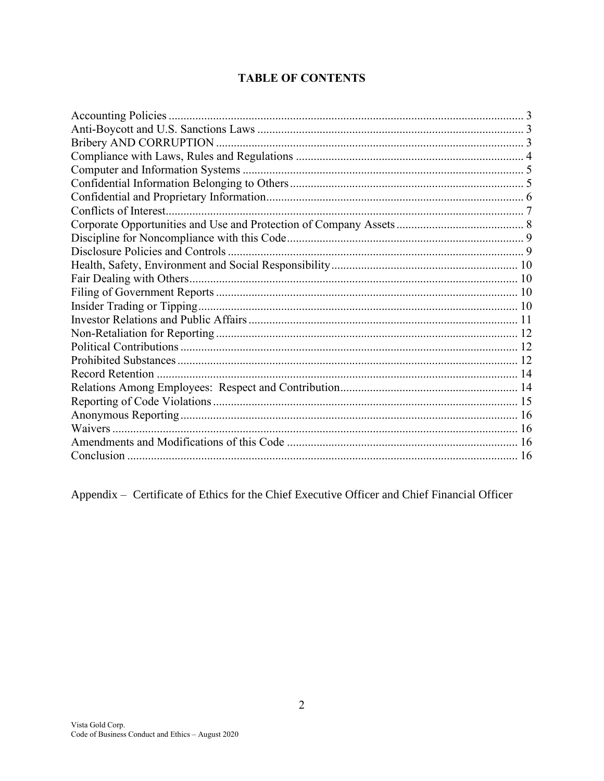# **TABLE OF CONTENTS**

Appendix - Certificate of Ethics for the Chief Executive Officer and Chief Financial Officer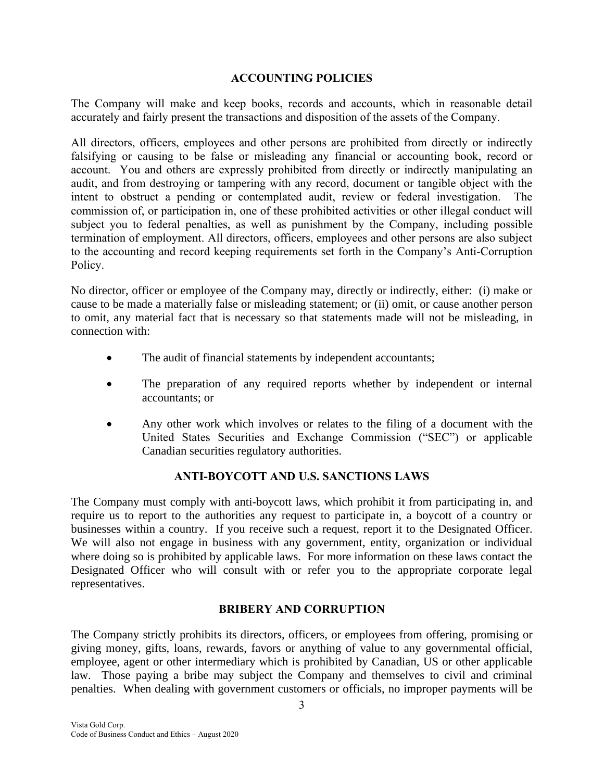### **ACCOUNTING POLICIES**

<span id="page-2-0"></span>The Company will make and keep books, records and accounts, which in reasonable detail accurately and fairly present the transactions and disposition of the assets of the Company.

All directors, officers, employees and other persons are prohibited from directly or indirectly falsifying or causing to be false or misleading any financial or accounting book, record or account. You and others are expressly prohibited from directly or indirectly manipulating an audit, and from destroying or tampering with any record, document or tangible object with the intent to obstruct a pending or contemplated audit, review or federal investigation. The commission of, or participation in, one of these prohibited activities or other illegal conduct will subject you to federal penalties, as well as punishment by the Company, including possible termination of employment. All directors, officers, employees and other persons are also subject to the accounting and record keeping requirements set forth in the Company's Anti-Corruption Policy.

No director, officer or employee of the Company may, directly or indirectly, either: (i) make or cause to be made a materially false or misleading statement; or (ii) omit, or cause another person to omit, any material fact that is necessary so that statements made will not be misleading, in connection with:

- The audit of financial statements by independent accountants;
- The preparation of any required reports whether by independent or internal accountants; or
- Any other work which involves or relates to the filing of a document with the United States Securities and Exchange Commission ("SEC") or applicable Canadian securities regulatory authorities.

# **ANTI-BOYCOTT AND U.S. SANCTIONS LAWS**

<span id="page-2-1"></span>The Company must comply with anti-boycott laws, which prohibit it from participating in, and require us to report to the authorities any request to participate in, a boycott of a country or businesses within a country. If you receive such a request, report it to the Designated Officer. We will also not engage in business with any government, entity, organization or individual where doing so is prohibited by applicable laws. For more information on these laws contact the Designated Officer who will consult with or refer you to the appropriate corporate legal representatives.

# **BRIBERY AND CORRUPTION**

<span id="page-2-2"></span>The Company strictly prohibits its directors, officers, or employees from offering, promising or giving money, gifts, loans, rewards, favors or anything of value to any governmental official, employee, agent or other intermediary which is prohibited by Canadian, US or other applicable law. Those paying a bribe may subject the Company and themselves to civil and criminal penalties. When dealing with government customers or officials, no improper payments will be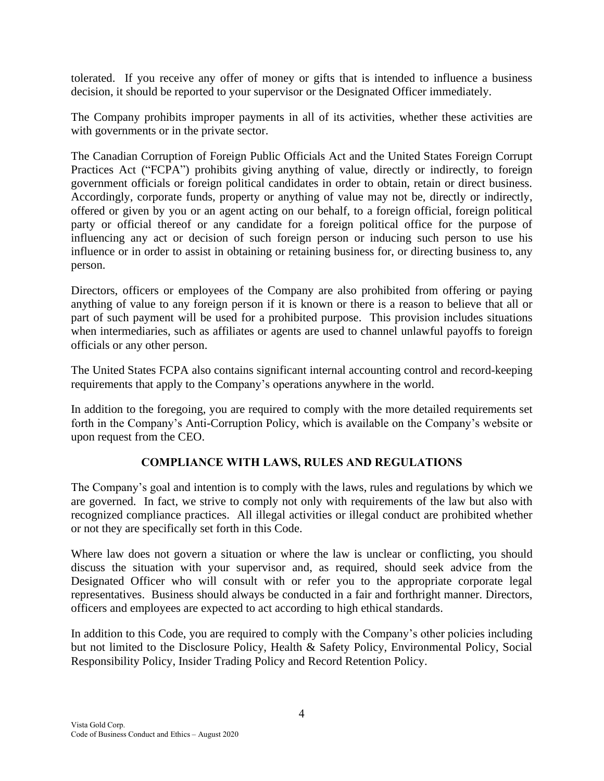tolerated. If you receive any offer of money or gifts that is intended to influence a business decision, it should be reported to your supervisor or the Designated Officer immediately.

The Company prohibits improper payments in all of its activities, whether these activities are with governments or in the private sector.

The Canadian Corruption of Foreign Public Officials Act and the United States Foreign Corrupt Practices Act ("FCPA") prohibits giving anything of value, directly or indirectly, to foreign government officials or foreign political candidates in order to obtain, retain or direct business. Accordingly, corporate funds, property or anything of value may not be, directly or indirectly, offered or given by you or an agent acting on our behalf, to a foreign official, foreign political party or official thereof or any candidate for a foreign political office for the purpose of influencing any act or decision of such foreign person or inducing such person to use his influence or in order to assist in obtaining or retaining business for, or directing business to, any person.

Directors, officers or employees of the Company are also prohibited from offering or paying anything of value to any foreign person if it is known or there is a reason to believe that all or part of such payment will be used for a prohibited purpose. This provision includes situations when intermediaries, such as affiliates or agents are used to channel unlawful payoffs to foreign officials or any other person.

The United States FCPA also contains significant internal accounting control and record-keeping requirements that apply to the Company's operations anywhere in the world.

In addition to the foregoing, you are required to comply with the more detailed requirements set forth in the Company's Anti-Corruption Policy, which is available on the Company's website or upon request from the CEO.

# **COMPLIANCE WITH LAWS, RULES AND REGULATIONS**

<span id="page-3-0"></span>The Company's goal and intention is to comply with the laws, rules and regulations by which we are governed. In fact, we strive to comply not only with requirements of the law but also with recognized compliance practices. All illegal activities or illegal conduct are prohibited whether or not they are specifically set forth in this Code.

Where law does not govern a situation or where the law is unclear or conflicting, you should discuss the situation with your supervisor and, as required, should seek advice from the Designated Officer who will consult with or refer you to the appropriate corporate legal representatives. Business should always be conducted in a fair and forthright manner. Directors, officers and employees are expected to act according to high ethical standards.

In addition to this Code, you are required to comply with the Company's other policies including but not limited to the Disclosure Policy, Health & Safety Policy, Environmental Policy, Social Responsibility Policy, Insider Trading Policy and Record Retention Policy.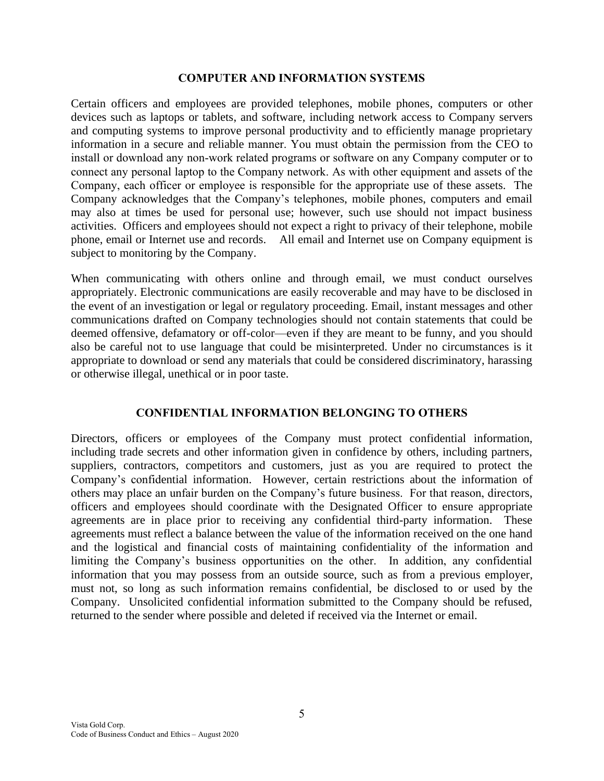#### **COMPUTER AND INFORMATION SYSTEMS**

<span id="page-4-0"></span>Certain officers and employees are provided telephones, mobile phones, computers or other devices such as laptops or tablets, and software, including network access to Company servers and computing systems to improve personal productivity and to efficiently manage proprietary information in a secure and reliable manner. You must obtain the permission from the CEO to install or download any non-work related programs or software on any Company computer or to connect any personal laptop to the Company network. As with other equipment and assets of the Company, each officer or employee is responsible for the appropriate use of these assets. The Company acknowledges that the Company's telephones, mobile phones, computers and email may also at times be used for personal use; however, such use should not impact business activities. Officers and employees should not expect a right to privacy of their telephone, mobile phone, email or Internet use and records. All email and Internet use on Company equipment is subject to monitoring by the Company.

When communicating with others online and through email, we must conduct ourselves appropriately. Electronic communications are easily recoverable and may have to be disclosed in the event of an investigation or legal or regulatory proceeding. Email, instant messages and other communications drafted on Company technologies should not contain statements that could be deemed offensive, defamatory or off-color—even if they are meant to be funny, and you should also be careful not to use language that could be misinterpreted. Under no circumstances is it appropriate to download or send any materials that could be considered discriminatory, harassing or otherwise illegal, unethical or in poor taste.

### **CONFIDENTIAL INFORMATION BELONGING TO OTHERS**

<span id="page-4-1"></span>Directors, officers or employees of the Company must protect confidential information, including trade secrets and other information given in confidence by others, including partners, suppliers, contractors, competitors and customers, just as you are required to protect the Company's confidential information. However, certain restrictions about the information of others may place an unfair burden on the Company's future business. For that reason, directors, officers and employees should coordinate with the Designated Officer to ensure appropriate agreements are in place prior to receiving any confidential third-party information. These agreements must reflect a balance between the value of the information received on the one hand and the logistical and financial costs of maintaining confidentiality of the information and limiting the Company's business opportunities on the other. In addition, any confidential information that you may possess from an outside source, such as from a previous employer, must not, so long as such information remains confidential, be disclosed to or used by the Company. Unsolicited confidential information submitted to the Company should be refused, returned to the sender where possible and deleted if received via the Internet or email.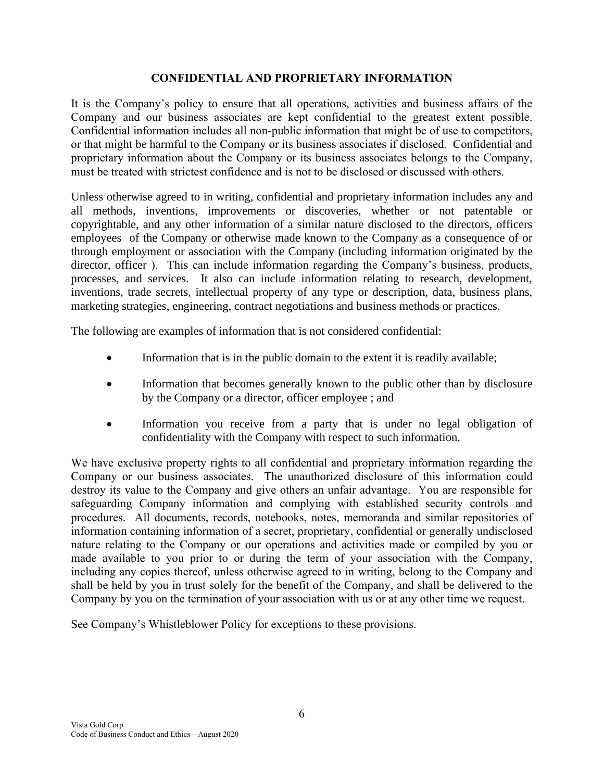### **CONFIDENTIAL AND PROPRIETARY INFORMATION**

<span id="page-5-0"></span>It is the Company's policy to ensure that all operations, activities and business affairs of the Company and our business associates are kept confidential to the greatest extent possible. Confidential information includes all non-public information that might be of use to competitors, or that might be harmful to the Company or its business associates if disclosed. Confidential and proprietary information about the Company or its business associates belongs to the Company, must be treated with strictest confidence and is not to be disclosed or discussed with others.

Unless otherwise agreed to in writing, confidential and proprietary information includes any and all methods, inventions, improvements or discoveries, whether or not patentable or copyrightable, and any other information of a similar nature disclosed to the directors, officers employees of the Company or otherwise made known to the Company as a consequence of or through employment or association with the Company (including information originated by the director, officer ). This can include information regarding the Company's business, products, processes, and services. It also can include information relating to research, development, inventions, trade secrets, intellectual property of any type or description, data, business plans, marketing strategies, engineering, contract negotiations and business methods or practices.

The following are examples of information that is not considered confidential:

- Information that is in the public domain to the extent it is readily available;
- Information that becomes generally known to the public other than by disclosure by the Company or a director, officer employee ; and
- Information you receive from a party that is under no legal obligation of confidentiality with the Company with respect to such information.

We have exclusive property rights to all confidential and proprietary information regarding the Company or our business associates. The unauthorized disclosure of this information could destroy its value to the Company and give others an unfair advantage. You are responsible for safeguarding Company information and complying with established security controls and procedures. All documents, records, notebooks, notes, memoranda and similar repositories of information containing information of a secret, proprietary, confidential or generally undisclosed nature relating to the Company or our operations and activities made or compiled by you or made available to you prior to or during the term of your association with the Company, including any copies thereof, unless otherwise agreed to in writing, belong to the Company and shall be held by you in trust solely for the benefit of the Company, and shall be delivered to the Company by you on the termination of your association with us or at any other time we request.

See Company's Whistleblower Policy for exceptions to these provisions.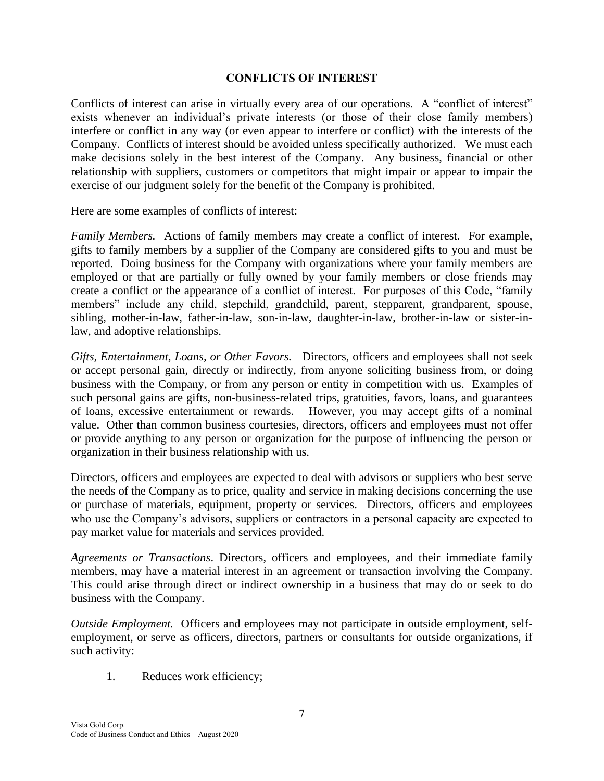### **CONFLICTS OF INTEREST**

<span id="page-6-0"></span>Conflicts of interest can arise in virtually every area of our operations. A "conflict of interest" exists whenever an individual's private interests (or those of their close family members) interfere or conflict in any way (or even appear to interfere or conflict) with the interests of the Company. Conflicts of interest should be avoided unless specifically authorized. We must each make decisions solely in the best interest of the Company. Any business, financial or other relationship with suppliers, customers or competitors that might impair or appear to impair the exercise of our judgment solely for the benefit of the Company is prohibited.

Here are some examples of conflicts of interest:

*Family Members.* Actions of family members may create a conflict of interest. For example, gifts to family members by a supplier of the Company are considered gifts to you and must be reported. Doing business for the Company with organizations where your family members are employed or that are partially or fully owned by your family members or close friends may create a conflict or the appearance of a conflict of interest. For purposes of this Code, "family members" include any child, stepchild, grandchild, parent, stepparent, grandparent, spouse, sibling, mother-in-law, father-in-law, son-in-law, daughter-in-law, brother-in-law or sister-inlaw, and adoptive relationships.

*Gifts, Entertainment, Loans, or Other Favors.* Directors, officers and employees shall not seek or accept personal gain, directly or indirectly, from anyone soliciting business from, or doing business with the Company, or from any person or entity in competition with us. Examples of such personal gains are gifts, non-business-related trips, gratuities, favors, loans, and guarantees of loans, excessive entertainment or rewards. However, you may accept gifts of a nominal value. Other than common business courtesies, directors, officers and employees must not offer or provide anything to any person or organization for the purpose of influencing the person or organization in their business relationship with us.

Directors, officers and employees are expected to deal with advisors or suppliers who best serve the needs of the Company as to price, quality and service in making decisions concerning the use or purchase of materials, equipment, property or services. Directors, officers and employees who use the Company's advisors, suppliers or contractors in a personal capacity are expected to pay market value for materials and services provided.

*Agreements or Transactions*. Directors, officers and employees, and their immediate family members, may have a material interest in an agreement or transaction involving the Company. This could arise through direct or indirect ownership in a business that may do or seek to do business with the Company.

*Outside Employment.* Officers and employees may not participate in outside employment, selfemployment, or serve as officers, directors, partners or consultants for outside organizations, if such activity:

1. Reduces work efficiency;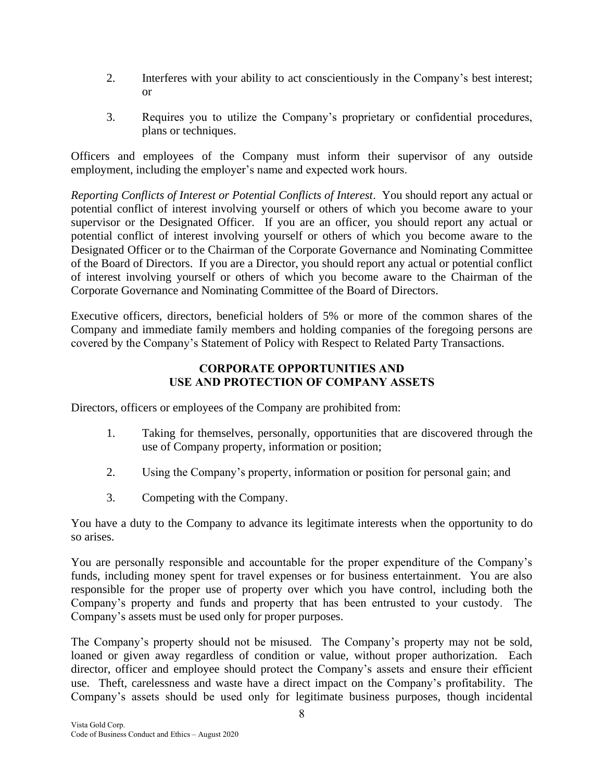- 2. Interferes with your ability to act conscientiously in the Company's best interest; or
- 3. Requires you to utilize the Company's proprietary or confidential procedures, plans or techniques.

Officers and employees of the Company must inform their supervisor of any outside employment, including the employer's name and expected work hours.

*Reporting Conflicts of Interest or Potential Conflicts of Interest*. You should report any actual or potential conflict of interest involving yourself or others of which you become aware to your supervisor or the Designated Officer. If you are an officer, you should report any actual or potential conflict of interest involving yourself or others of which you become aware to the Designated Officer or to the Chairman of the Corporate Governance and Nominating Committee of the Board of Directors. If you are a Director, you should report any actual or potential conflict of interest involving yourself or others of which you become aware to the Chairman of the Corporate Governance and Nominating Committee of the Board of Directors.

Executive officers, directors, beneficial holders of 5% or more of the common shares of the Company and immediate family members and holding companies of the foregoing persons are covered by the Company's Statement of Policy with Respect to Related Party Transactions.

## **CORPORATE OPPORTUNITIES AND USE AND PROTECTION OF COMPANY ASSETS**

<span id="page-7-0"></span>Directors, officers or employees of the Company are prohibited from:

- 1. Taking for themselves, personally, opportunities that are discovered through the use of Company property, information or position;
- 2. Using the Company's property, information or position for personal gain; and
- 3. Competing with the Company.

You have a duty to the Company to advance its legitimate interests when the opportunity to do so arises.

You are personally responsible and accountable for the proper expenditure of the Company's funds, including money spent for travel expenses or for business entertainment. You are also responsible for the proper use of property over which you have control, including both the Company's property and funds and property that has been entrusted to your custody. The Company's assets must be used only for proper purposes.

The Company's property should not be misused. The Company's property may not be sold, loaned or given away regardless of condition or value, without proper authorization. Each director, officer and employee should protect the Company's assets and ensure their efficient use. Theft, carelessness and waste have a direct impact on the Company's profitability. The Company's assets should be used only for legitimate business purposes, though incidental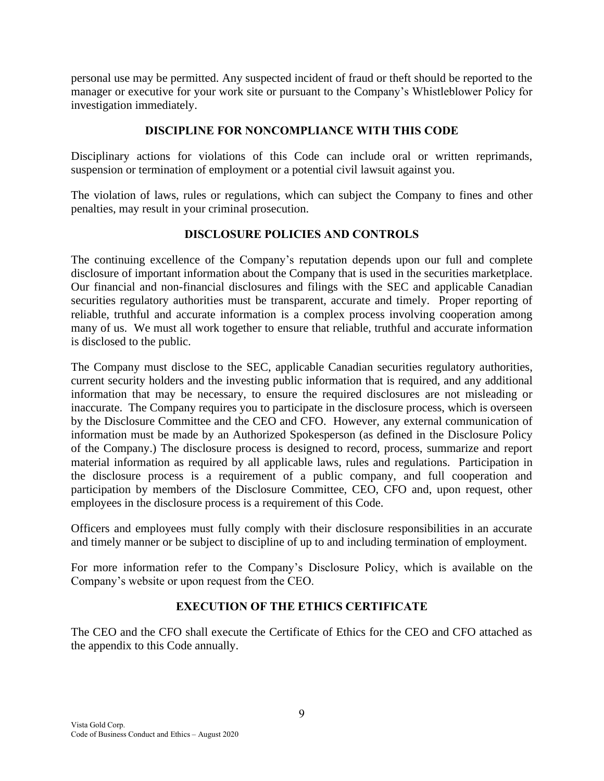personal use may be permitted. Any suspected incident of fraud or theft should be reported to the manager or executive for your work site or pursuant to the Company's Whistleblower Policy for investigation immediately.

## **DISCIPLINE FOR NONCOMPLIANCE WITH THIS CODE**

<span id="page-8-0"></span>Disciplinary actions for violations of this Code can include oral or written reprimands, suspension or termination of employment or a potential civil lawsuit against you.

The violation of laws, rules or regulations, which can subject the Company to fines and other penalties, may result in your criminal prosecution.

### **DISCLOSURE POLICIES AND CONTROLS**

<span id="page-8-1"></span>The continuing excellence of the Company's reputation depends upon our full and complete disclosure of important information about the Company that is used in the securities marketplace. Our financial and non-financial disclosures and filings with the SEC and applicable Canadian securities regulatory authorities must be transparent, accurate and timely. Proper reporting of reliable, truthful and accurate information is a complex process involving cooperation among many of us. We must all work together to ensure that reliable, truthful and accurate information is disclosed to the public.

The Company must disclose to the SEC, applicable Canadian securities regulatory authorities, current security holders and the investing public information that is required, and any additional information that may be necessary, to ensure the required disclosures are not misleading or inaccurate. The Company requires you to participate in the disclosure process, which is overseen by the Disclosure Committee and the CEO and CFO. However, any external communication of information must be made by an Authorized Spokesperson (as defined in the Disclosure Policy of the Company.) The disclosure process is designed to record, process, summarize and report material information as required by all applicable laws, rules and regulations. Participation in the disclosure process is a requirement of a public company, and full cooperation and participation by members of the Disclosure Committee, CEO, CFO and, upon request, other employees in the disclosure process is a requirement of this Code.

Officers and employees must fully comply with their disclosure responsibilities in an accurate and timely manner or be subject to discipline of up to and including termination of employment.

For more information refer to the Company's Disclosure Policy, which is available on the Company's website or upon request from the CEO.

# **EXECUTION OF THE ETHICS CERTIFICATE**

The CEO and the CFO shall execute the Certificate of Ethics for the CEO and CFO attached as the appendix to this Code annually.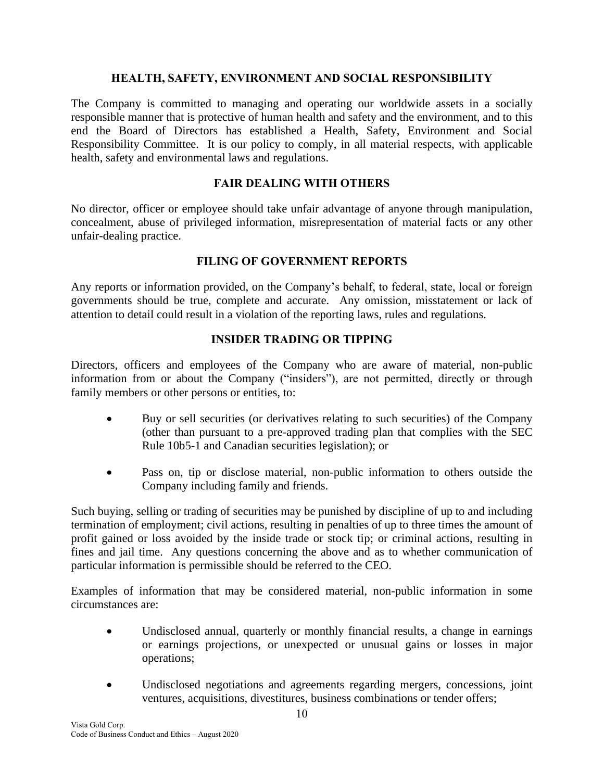### **HEALTH, SAFETY, ENVIRONMENT AND SOCIAL RESPONSIBILITY**

<span id="page-9-0"></span>The Company is committed to managing and operating our worldwide assets in a socially responsible manner that is protective of human health and safety and the environment, and to this end the Board of Directors has established a Health, Safety, Environment and Social Responsibility Committee. It is our policy to comply, in all material respects, with applicable health, safety and environmental laws and regulations.

## **FAIR DEALING WITH OTHERS**

<span id="page-9-1"></span>No director, officer or employee should take unfair advantage of anyone through manipulation, concealment, abuse of privileged information, misrepresentation of material facts or any other unfair-dealing practice.

### **FILING OF GOVERNMENT REPORTS**

<span id="page-9-2"></span>Any reports or information provided, on the Company's behalf, to federal, state, local or foreign governments should be true, complete and accurate. Any omission, misstatement or lack of attention to detail could result in a violation of the reporting laws, rules and regulations.

# **INSIDER TRADING OR TIPPING**

<span id="page-9-3"></span>Directors, officers and employees of the Company who are aware of material, non-public information from or about the Company ("insiders"), are not permitted, directly or through family members or other persons or entities, to:

- Buy or sell securities (or derivatives relating to such securities) of the Company (other than pursuant to a pre-approved trading plan that complies with the SEC Rule 10b5-1 and Canadian securities legislation); or
- Pass on, tip or disclose material, non-public information to others outside the Company including family and friends.

Such buying, selling or trading of securities may be punished by discipline of up to and including termination of employment; civil actions, resulting in penalties of up to three times the amount of profit gained or loss avoided by the inside trade or stock tip; or criminal actions, resulting in fines and jail time. Any questions concerning the above and as to whether communication of particular information is permissible should be referred to the CEO.

Examples of information that may be considered material, non-public information in some circumstances are:

- Undisclosed annual, quarterly or monthly financial results, a change in earnings or earnings projections, or unexpected or unusual gains or losses in major operations;
- Undisclosed negotiations and agreements regarding mergers, concessions, joint ventures, acquisitions, divestitures, business combinations or tender offers;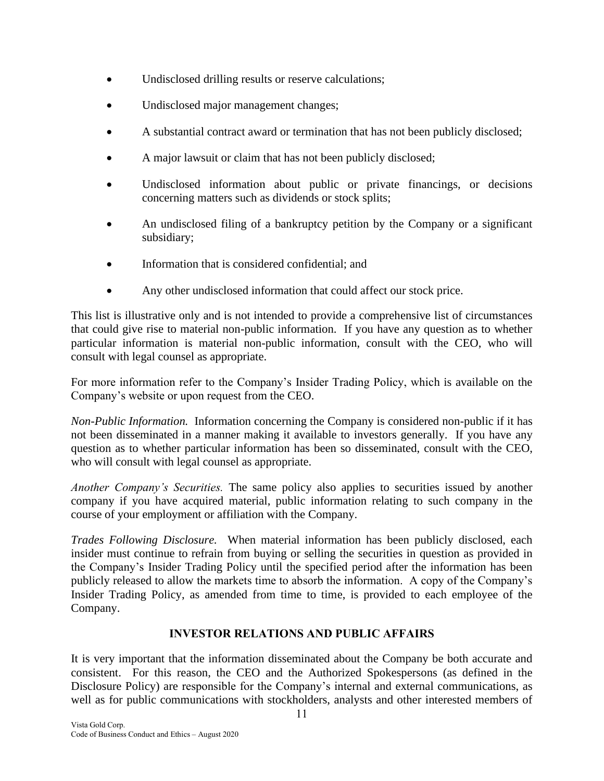- Undisclosed drilling results or reserve calculations;
- Undisclosed major management changes;
- A substantial contract award or termination that has not been publicly disclosed;
- A major lawsuit or claim that has not been publicly disclosed;
- Undisclosed information about public or private financings, or decisions concerning matters such as dividends or stock splits;
- An undisclosed filing of a bankruptcy petition by the Company or a significant subsidiary;
- Information that is considered confidential; and
- Any other undisclosed information that could affect our stock price.

This list is illustrative only and is not intended to provide a comprehensive list of circumstances that could give rise to material non-public information. If you have any question as to whether particular information is material non-public information, consult with the CEO, who will consult with legal counsel as appropriate.

For more information refer to the Company's Insider Trading Policy, which is available on the Company's website or upon request from the CEO.

*Non-Public Information.* Information concerning the Company is considered non-public if it has not been disseminated in a manner making it available to investors generally. If you have any question as to whether particular information has been so disseminated, consult with the CEO, who will consult with legal counsel as appropriate.

*Another Company's Securities.* The same policy also applies to securities issued by another company if you have acquired material, public information relating to such company in the course of your employment or affiliation with the Company.

*Trades Following Disclosure.* When material information has been publicly disclosed, each insider must continue to refrain from buying or selling the securities in question as provided in the Company's Insider Trading Policy until the specified period after the information has been publicly released to allow the markets time to absorb the information. A copy of the Company's Insider Trading Policy, as amended from time to time, is provided to each employee of the Company.

# **INVESTOR RELATIONS AND PUBLIC AFFAIRS**

<span id="page-10-0"></span>It is very important that the information disseminated about the Company be both accurate and consistent. For this reason, the CEO and the Authorized Spokespersons (as defined in the Disclosure Policy) are responsible for the Company's internal and external communications, as well as for public communications with stockholders, analysts and other interested members of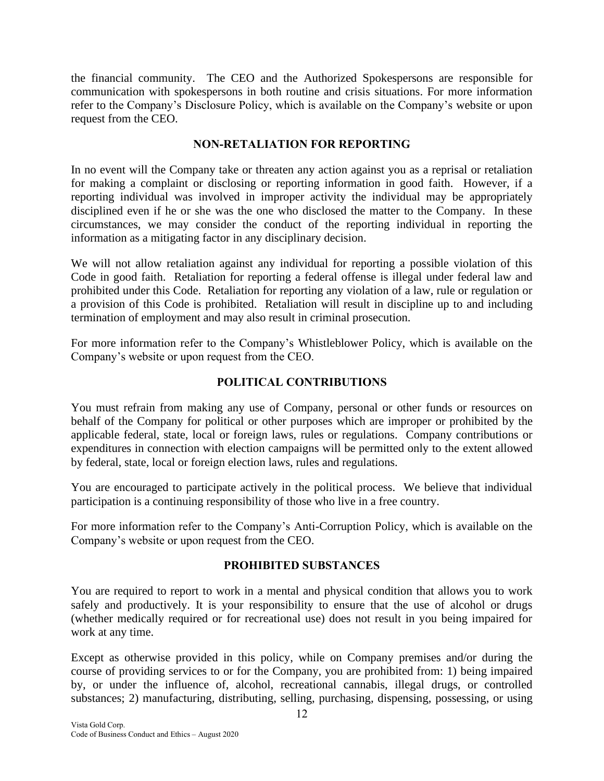the financial community. The CEO and the Authorized Spokespersons are responsible for communication with spokespersons in both routine and crisis situations. For more information refer to the Company's Disclosure Policy, which is available on the Company's website or upon request from the CEO.

## **NON-RETALIATION FOR REPORTING**

<span id="page-11-0"></span>In no event will the Company take or threaten any action against you as a reprisal or retaliation for making a complaint or disclosing or reporting information in good faith. However, if a reporting individual was involved in improper activity the individual may be appropriately disciplined even if he or she was the one who disclosed the matter to the Company. In these circumstances, we may consider the conduct of the reporting individual in reporting the information as a mitigating factor in any disciplinary decision.

We will not allow retaliation against any individual for reporting a possible violation of this Code in good faith. Retaliation for reporting a federal offense is illegal under federal law and prohibited under this Code. Retaliation for reporting any violation of a law, rule or regulation or a provision of this Code is prohibited. Retaliation will result in discipline up to and including termination of employment and may also result in criminal prosecution.

For more information refer to the Company's Whistleblower Policy, which is available on the Company's website or upon request from the CEO.

# **POLITICAL CONTRIBUTIONS**

<span id="page-11-1"></span>You must refrain from making any use of Company, personal or other funds or resources on behalf of the Company for political or other purposes which are improper or prohibited by the applicable federal, state, local or foreign laws, rules or regulations. Company contributions or expenditures in connection with election campaigns will be permitted only to the extent allowed by federal, state, local or foreign election laws, rules and regulations.

You are encouraged to participate actively in the political process. We believe that individual participation is a continuing responsibility of those who live in a free country.

For more information refer to the Company's Anti-Corruption Policy, which is available on the Company's website or upon request from the CEO.

### **PROHIBITED SUBSTANCES**

<span id="page-11-2"></span>You are required to report to work in a mental and physical condition that allows you to work safely and productively. It is your responsibility to ensure that the use of alcohol or drugs (whether medically required or for recreational use) does not result in you being impaired for work at any time.

Except as otherwise provided in this policy, while on Company premises and/or during the course of providing services to or for the Company, you are prohibited from: 1) being impaired by, or under the influence of, alcohol, recreational cannabis, illegal drugs, or controlled substances; 2) manufacturing, distributing, selling, purchasing, dispensing, possessing, or using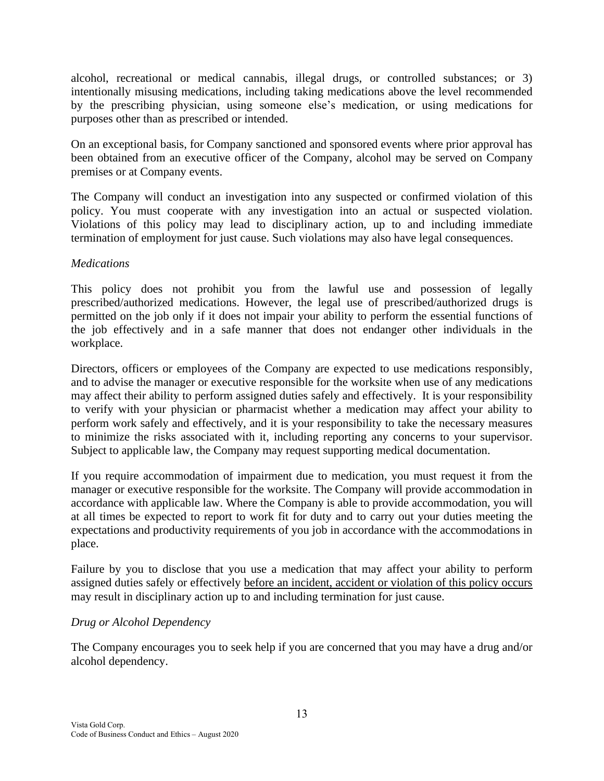alcohol, recreational or medical cannabis, illegal drugs, or controlled substances; or 3) intentionally misusing medications, including taking medications above the level recommended by the prescribing physician, using someone else's medication, or using medications for purposes other than as prescribed or intended.

On an exceptional basis, for Company sanctioned and sponsored events where prior approval has been obtained from an executive officer of the Company, alcohol may be served on Company premises or at Company events.

The Company will conduct an investigation into any suspected or confirmed violation of this policy. You must cooperate with any investigation into an actual or suspected violation. Violations of this policy may lead to disciplinary action, up to and including immediate termination of employment for just cause. Such violations may also have legal consequences.

### *Medications*

This policy does not prohibit you from the lawful use and possession of legally prescribed/authorized medications. However, the legal use of prescribed/authorized drugs is permitted on the job only if it does not impair your ability to perform the essential functions of the job effectively and in a safe manner that does not endanger other individuals in the workplace.

Directors, officers or employees of the Company are expected to use medications responsibly, and to advise the manager or executive responsible for the worksite when use of any medications may affect their ability to perform assigned duties safely and effectively. It is your responsibility to verify with your physician or pharmacist whether a medication may affect your ability to perform work safely and effectively, and it is your responsibility to take the necessary measures to minimize the risks associated with it, including reporting any concerns to your supervisor. Subject to applicable law, the Company may request supporting medical documentation.

If you require accommodation of impairment due to medication, you must request it from the manager or executive responsible for the worksite. The Company will provide accommodation in accordance with applicable law. Where the Company is able to provide accommodation, you will at all times be expected to report to work fit for duty and to carry out your duties meeting the expectations and productivity requirements of you job in accordance with the accommodations in place.

Failure by you to disclose that you use a medication that may affect your ability to perform assigned duties safely or effectively before an incident, accident or violation of this policy occurs may result in disciplinary action up to and including termination for just cause.

# *Drug or Alcohol Dependency*

The Company encourages you to seek help if you are concerned that you may have a drug and/or alcohol dependency.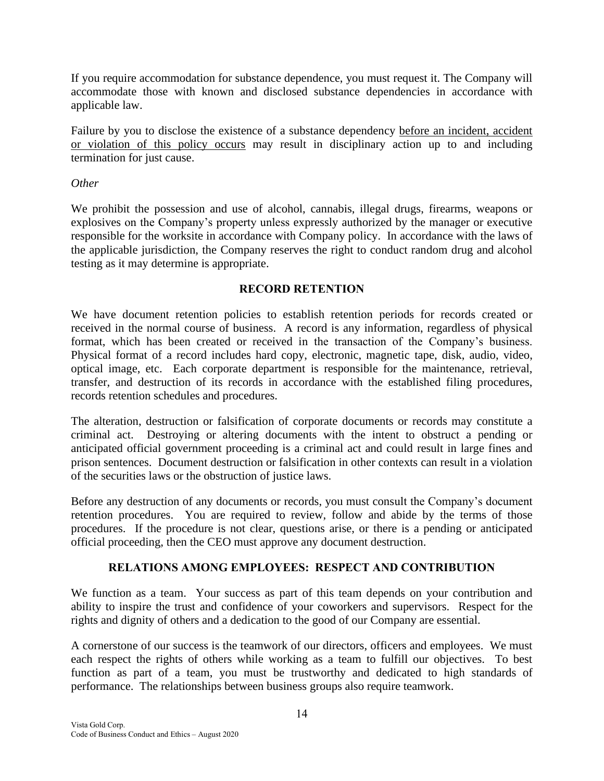If you require accommodation for substance dependence, you must request it. The Company will accommodate those with known and disclosed substance dependencies in accordance with applicable law.

Failure by you to disclose the existence of a substance dependency before an incident, accident or violation of this policy occurs may result in disciplinary action up to and including termination for just cause.

## *Other*

We prohibit the possession and use of alcohol, cannabis, illegal drugs, firearms, weapons or explosives on the Company's property unless expressly authorized by the manager or executive responsible for the worksite in accordance with Company policy. In accordance with the laws of the applicable jurisdiction, the Company reserves the right to conduct random drug and alcohol testing as it may determine is appropriate.

# **RECORD RETENTION**

<span id="page-13-0"></span>We have document retention policies to establish retention periods for records created or received in the normal course of business. A record is any information, regardless of physical format, which has been created or received in the transaction of the Company's business. Physical format of a record includes hard copy, electronic, magnetic tape, disk, audio, video, optical image, etc. Each corporate department is responsible for the maintenance, retrieval, transfer, and destruction of its records in accordance with the established filing procedures, records retention schedules and procedures.

The alteration, destruction or falsification of corporate documents or records may constitute a criminal act. Destroying or altering documents with the intent to obstruct a pending or anticipated official government proceeding is a criminal act and could result in large fines and prison sentences. Document destruction or falsification in other contexts can result in a violation of the securities laws or the obstruction of justice laws.

Before any destruction of any documents or records, you must consult the Company's document retention procedures. You are required to review, follow and abide by the terms of those procedures. If the procedure is not clear, questions arise, or there is a pending or anticipated official proceeding, then the CEO must approve any document destruction.

# **RELATIONS AMONG EMPLOYEES: RESPECT AND CONTRIBUTION**

<span id="page-13-1"></span>We function as a team. Your success as part of this team depends on your contribution and ability to inspire the trust and confidence of your coworkers and supervisors. Respect for the rights and dignity of others and a dedication to the good of our Company are essential.

A cornerstone of our success is the teamwork of our directors, officers and employees. We must each respect the rights of others while working as a team to fulfill our objectives. To best function as part of a team, you must be trustworthy and dedicated to high standards of performance. The relationships between business groups also require teamwork.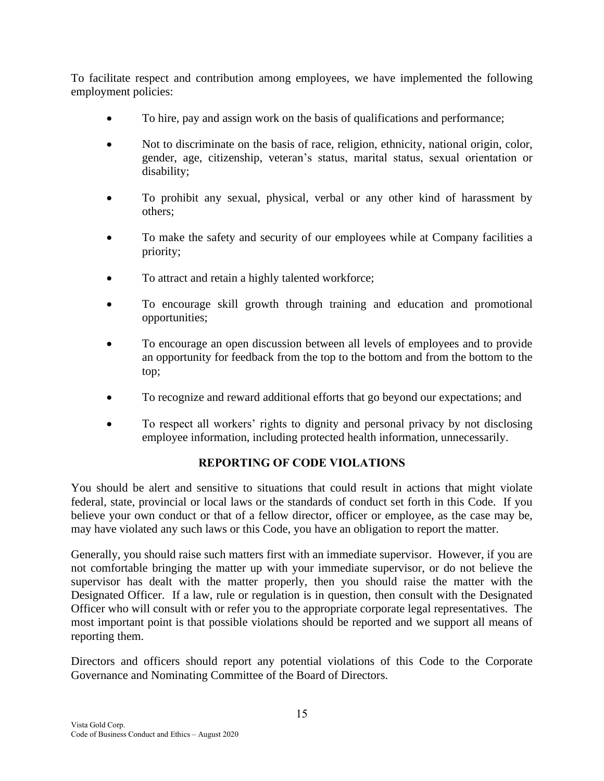To facilitate respect and contribution among employees, we have implemented the following employment policies:

- To hire, pay and assign work on the basis of qualifications and performance;
- Not to discriminate on the basis of race, religion, ethnicity, national origin, color, gender, age, citizenship, veteran's status, marital status, sexual orientation or disability;
- To prohibit any sexual, physical, verbal or any other kind of harassment by others;
- To make the safety and security of our employees while at Company facilities a priority;
- To attract and retain a highly talented workforce;
- To encourage skill growth through training and education and promotional opportunities;
- To encourage an open discussion between all levels of employees and to provide an opportunity for feedback from the top to the bottom and from the bottom to the top;
- To recognize and reward additional efforts that go beyond our expectations; and
- To respect all workers' rights to dignity and personal privacy by not disclosing employee information, including protected health information, unnecessarily.

# **REPORTING OF CODE VIOLATIONS**

<span id="page-14-0"></span>You should be alert and sensitive to situations that could result in actions that might violate federal, state, provincial or local laws or the standards of conduct set forth in this Code. If you believe your own conduct or that of a fellow director, officer or employee, as the case may be, may have violated any such laws or this Code, you have an obligation to report the matter.

Generally, you should raise such matters first with an immediate supervisor. However, if you are not comfortable bringing the matter up with your immediate supervisor, or do not believe the supervisor has dealt with the matter properly, then you should raise the matter with the Designated Officer. If a law, rule or regulation is in question, then consult with the Designated Officer who will consult with or refer you to the appropriate corporate legal representatives. The most important point is that possible violations should be reported and we support all means of reporting them.

Directors and officers should report any potential violations of this Code to the Corporate Governance and Nominating Committee of the Board of Directors.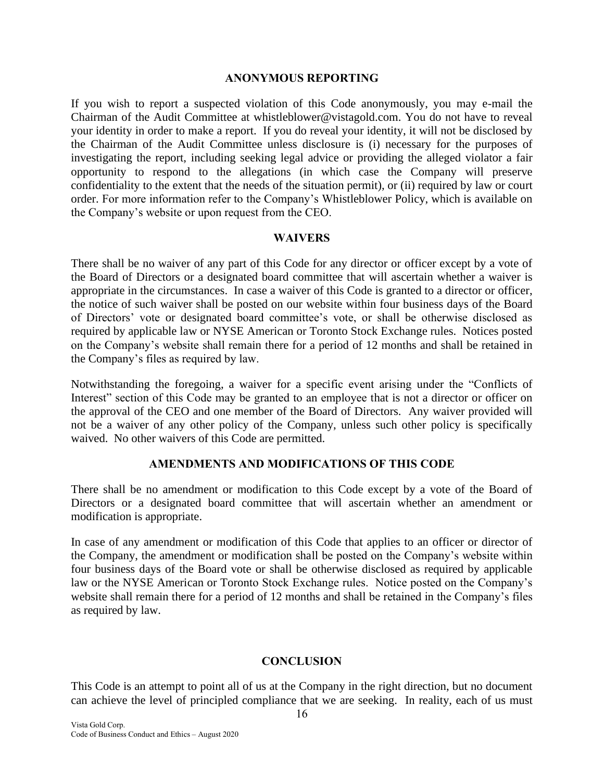#### **ANONYMOUS REPORTING**

<span id="page-15-0"></span>If you wish to report a suspected violation of this Code anonymously, you may e-mail the Chairman of the Audit Committee at whistleblower@vistagold.com. You do not have to reveal your identity in order to make a report. If you do reveal your identity, it will not be disclosed by the Chairman of the Audit Committee unless disclosure is (i) necessary for the purposes of investigating the report, including seeking legal advice or providing the alleged violator a fair opportunity to respond to the allegations (in which case the Company will preserve confidentiality to the extent that the needs of the situation permit), or (ii) required by law or court order. For more information refer to the Company's Whistleblower Policy, which is available on the Company's website or upon request from the CEO.

### **WAIVERS**

<span id="page-15-1"></span>There shall be no waiver of any part of this Code for any director or officer except by a vote of the Board of Directors or a designated board committee that will ascertain whether a waiver is appropriate in the circumstances. In case a waiver of this Code is granted to a director or officer, the notice of such waiver shall be posted on our website within four business days of the Board of Directors' vote or designated board committee's vote, or shall be otherwise disclosed as required by applicable law or NYSE American or Toronto Stock Exchange rules. Notices posted on the Company's website shall remain there for a period of 12 months and shall be retained in the Company's files as required by law.

Notwithstanding the foregoing, a waiver for a specific event arising under the "Conflicts of Interest" section of this Code may be granted to an employee that is not a director or officer on the approval of the CEO and one member of the Board of Directors. Any waiver provided will not be a waiver of any other policy of the Company, unless such other policy is specifically waived. No other waivers of this Code are permitted.

# **AMENDMENTS AND MODIFICATIONS OF THIS CODE**

<span id="page-15-2"></span>There shall be no amendment or modification to this Code except by a vote of the Board of Directors or a designated board committee that will ascertain whether an amendment or modification is appropriate.

In case of any amendment or modification of this Code that applies to an officer or director of the Company, the amendment or modification shall be posted on the Company's website within four business days of the Board vote or shall be otherwise disclosed as required by applicable law or the NYSE American or Toronto Stock Exchange rules. Notice posted on the Company's website shall remain there for a period of 12 months and shall be retained in the Company's files as required by law.

# **CONCLUSION**

<span id="page-15-3"></span>This Code is an attempt to point all of us at the Company in the right direction, but no document can achieve the level of principled compliance that we are seeking. In reality, each of us must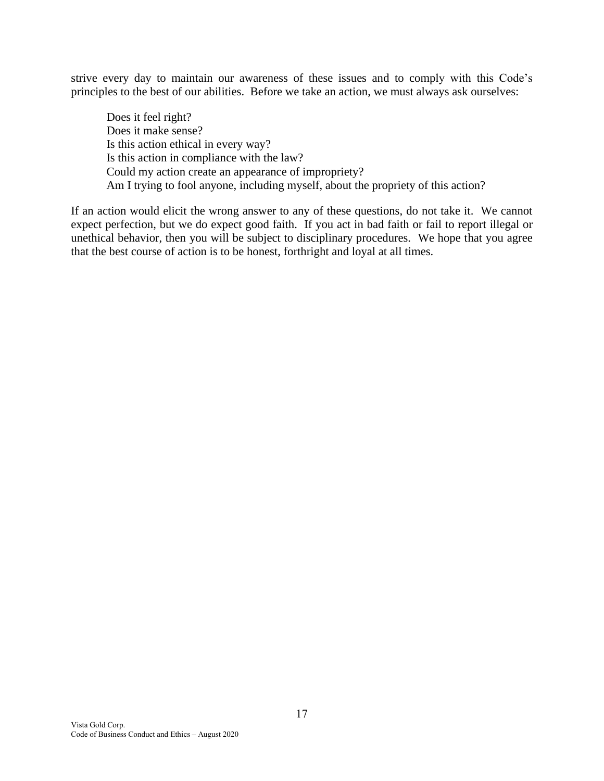strive every day to maintain our awareness of these issues and to comply with this Code's principles to the best of our abilities. Before we take an action, we must always ask ourselves:

Does it feel right? Does it make sense? Is this action ethical in every way? Is this action in compliance with the law? Could my action create an appearance of impropriety? Am I trying to fool anyone, including myself, about the propriety of this action?

If an action would elicit the wrong answer to any of these questions, do not take it. We cannot expect perfection, but we do expect good faith. If you act in bad faith or fail to report illegal or unethical behavior, then you will be subject to disciplinary procedures. We hope that you agree that the best course of action is to be honest, forthright and loyal at all times.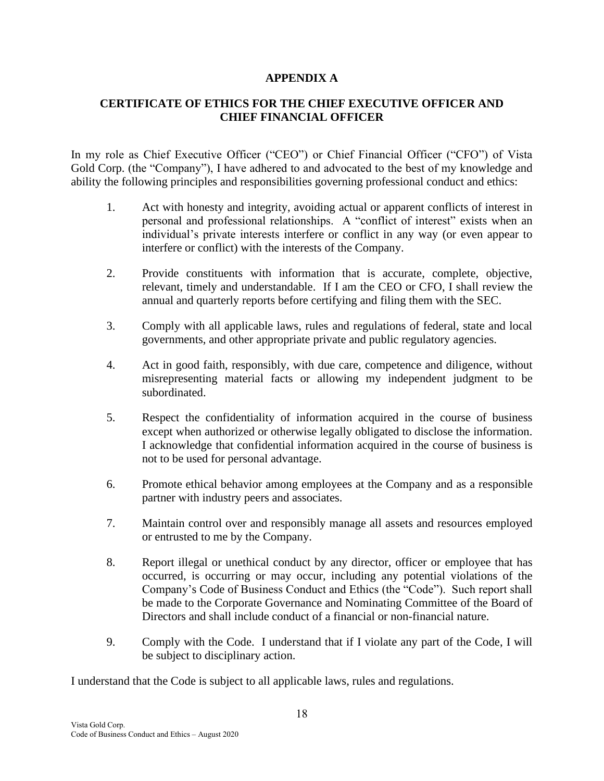# **APPENDIX A**

# **CERTIFICATE OF ETHICS FOR THE CHIEF EXECUTIVE OFFICER AND CHIEF FINANCIAL OFFICER**

In my role as Chief Executive Officer ("CEO") or Chief Financial Officer ("CFO") of Vista Gold Corp. (the "Company"), I have adhered to and advocated to the best of my knowledge and ability the following principles and responsibilities governing professional conduct and ethics:

- 1. Act with honesty and integrity, avoiding actual or apparent conflicts of interest in personal and professional relationships. A "conflict of interest" exists when an individual's private interests interfere or conflict in any way (or even appear to interfere or conflict) with the interests of the Company.
- 2. Provide constituents with information that is accurate, complete, objective, relevant, timely and understandable. If I am the CEO or CFO, I shall review the annual and quarterly reports before certifying and filing them with the SEC.
- 3. Comply with all applicable laws, rules and regulations of federal, state and local governments, and other appropriate private and public regulatory agencies.
- 4. Act in good faith, responsibly, with due care, competence and diligence, without misrepresenting material facts or allowing my independent judgment to be subordinated.
- 5. Respect the confidentiality of information acquired in the course of business except when authorized or otherwise legally obligated to disclose the information. I acknowledge that confidential information acquired in the course of business is not to be used for personal advantage.
- 6. Promote ethical behavior among employees at the Company and as a responsible partner with industry peers and associates.
- 7. Maintain control over and responsibly manage all assets and resources employed or entrusted to me by the Company.
- 8. Report illegal or unethical conduct by any director, officer or employee that has occurred, is occurring or may occur, including any potential violations of the Company's Code of Business Conduct and Ethics (the "Code"). Such report shall be made to the Corporate Governance and Nominating Committee of the Board of Directors and shall include conduct of a financial or non-financial nature.
- 9. Comply with the Code. I understand that if I violate any part of the Code, I will be subject to disciplinary action.

I understand that the Code is subject to all applicable laws, rules and regulations.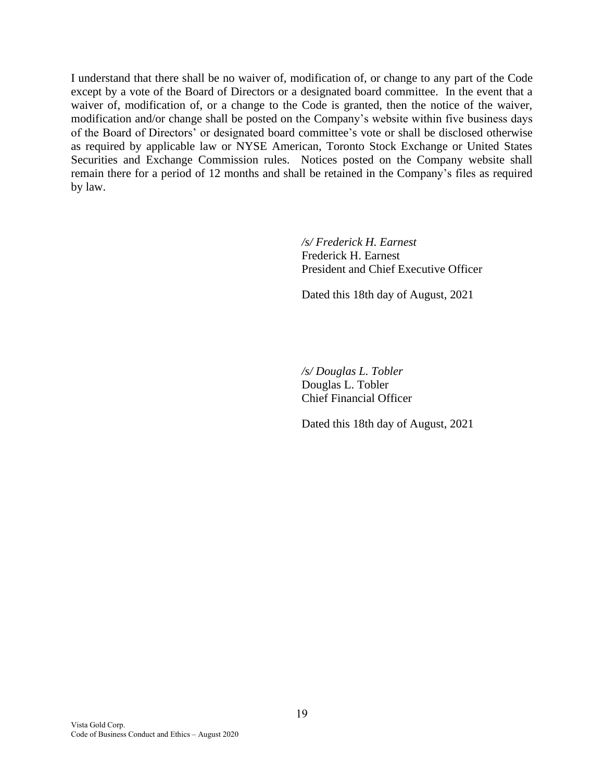I understand that there shall be no waiver of, modification of, or change to any part of the Code except by a vote of the Board of Directors or a designated board committee. In the event that a waiver of, modification of, or a change to the Code is granted, then the notice of the waiver, modification and/or change shall be posted on the Company's website within five business days of the Board of Directors' or designated board committee's vote or shall be disclosed otherwise as required by applicable law or NYSE American, Toronto Stock Exchange or United States Securities and Exchange Commission rules. Notices posted on the Company website shall remain there for a period of 12 months and shall be retained in the Company's files as required by law.

> */s/ Frederick H. Earnest* Frederick H. Earnest President and Chief Executive Officer

Dated this 18th day of August, 2021

*/s/ Douglas L. Tobler* Douglas L. Tobler Chief Financial Officer

Dated this 18th day of August, 2021